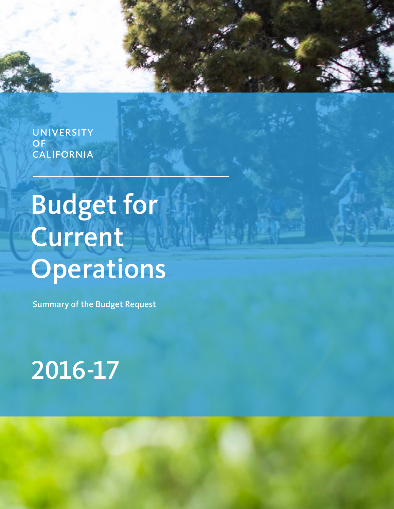**UNIVERSITY OF CALIFORNIA** 

# Budget for Current Operations

Summary of the Budget Request

# 2016-17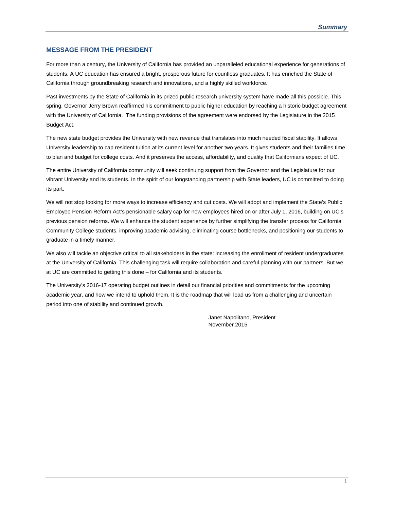#### **MESSAGE FROM THE PRESIDENT**

For more than a century, the University of California has provided an unparalleled educational experience for generations of students. A UC education has ensured a bright, prosperous future for countless graduates. It has enriched the State of California through groundbreaking research and innovations, and a highly skilled workforce.

Past investments by the State of California in its prized public research university system have made all this possible. This spring, Governor Jerry Brown reaffirmed his commitment to public higher education by reaching a historic budget agreement with the University of California. The funding provisions of the agreement were endorsed by the Legislature in the 2015 Budget Act.

The new state budget provides the University with new revenue that translates into much needed fiscal stability. It allows University leadership to cap resident tuition at its current level for another two years. It gives students and their families time to plan and budget for college costs. And it preserves the access, affordability, and quality that Californians expect of UC.

The entire University of California community will seek continuing support from the Governor and the Legislature for our vibrant University and its students. In the spirit of our longstanding partnership with State leaders, UC is committed to doing its part.

We will not stop looking for more ways to increase efficiency and cut costs. We will adopt and implement the State's Public Employee Pension Reform Act's pensionable salary cap for new employees hired on or after July 1, 2016, building on UC's previous pension reforms. We will enhance the student experience by further simplifying the transfer process for California Community College students, improving academic advising, eliminating course bottlenecks, and positioning our students to graduate in a timely manner.

We also will tackle an objective critical to all stakeholders in the state: increasing the enrollment of resident undergraduates at the University of California. This challenging task will require collaboration and careful planning with our partners. But we at UC are committed to getting this done – for California and its students.

The University's 2016-17 operating budget outlines in detail our financial priorities and commitments for the upcoming academic year, and how we intend to uphold them. It is the roadmap that will lead us from a challenging and uncertain period into one of stability and continued growth.

> Janet Napolitano, President November 2015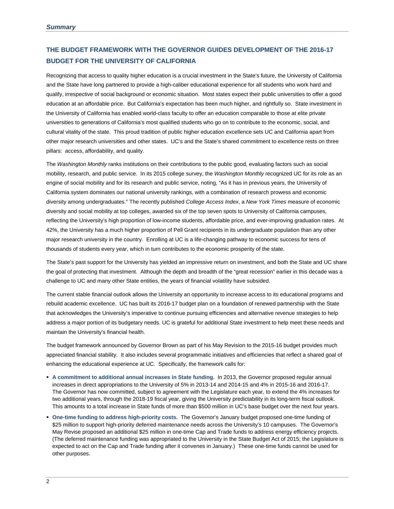## **THE BUDGET FRAMEWORK WITH THE GOVERNOR GUIDES DEVELOPMENT OF THE 2016-17 BUDGET FOR THE UNIVERSITY OF CALIFORNIA**

Recognizing that access to quality higher education is a crucial investment in the State's future, the University of California and the State have long partnered to provide a high-caliber educational experience for all students who work hard and qualify, irrespective of social background or economic situation. Most states expect their public universities to offer a good education at an affordable price. But California's expectation has been much higher, and rightfully so. State investment in the University of California has enabled world-class faculty to offer an education comparable to those at elite private universities to generations of California's most qualified students who go on to contribute to the economic, social, and cultural vitality of the state. This proud tradition of public higher education excellence sets UC and California apart from other major research universities and other states. UC's and the State's shared commitment to excellence rests on three pillars: access, affordability, and quality.

The *Washington Monthly* ranks institutions on their contributions to the public good, evaluating factors such as social mobility, research, and public service. In its 2015 college survey, the *Washington Monthly* recognized UC for its role as an engine of social mobility and for its research and public service, noting, "As it has in previous years, the University of California system dominates our national university rankings, with a combination of research prowess and economic diversity among undergraduates." The recently published *College Access Index*, a *New York Times* measure of economic diversity and social mobility at top colleges, awarded six of the top seven spots to University of California campuses, reflecting the University's high proportion of low-income students, affordable price, and ever-improving graduation rates. At 42%, the University has a much higher proportion of Pell Grant recipients in its undergraduate population than any other major research university in the country. Enrolling at UC is a life-changing pathway to economic success for tens of thousands of students every year, which in turn contributes to the economic prosperity of the state.

The State's past support for the University has yielded an impressive return on investment, and both the State and UC share the goal of protecting that investment. Although the depth and breadth of the "great recession" earlier in this decade was a challenge to UC and many other State entities, the years of financial volatility have subsided.

The current stable financial outlook allows the University an opportunity to increase access to its educational programs and rebuild academic excellence. UC has built its 2016-17 budget plan on a foundation of renewed partnership with the State that acknowledges the University's imperative to continue pursuing efficiencies and alternative revenue strategies to help address a major portion of its budgetary needs. UC is grateful for additional State investment to help meet these needs and maintain the University's financial health.

The budget framework announced by Governor Brown as part of his May Revision to the 2015-16 budget provides much appreciated financial stability. It also includes several programmatic initiatives and efficiencies that reflect a shared goal of enhancing the educational experience at UC. Specifically, the framework calls for:

- **A commitment to additional annual increases in State funding.** In 2013, the Governor proposed regular annual increases in direct appropriations to the University of 5% in 2013-14 and 2014-15 and 4% in 2015-16 and 2016-17. The Governor has now committed, subject to agreement with the Legislature each year, to extend the 4% increases for two additional years, through the 2018-19 fiscal year, giving the University predictability in its long-term fiscal outlook. This amounts to a total increase in State funds of more than \$500 million in UC's base budget over the next four years.
- **One-time funding to address high-priority costs.** The Governor's January budget proposed one-time funding of \$25 million to support high-priority deferred maintenance needs across the University's 10 campuses. The Governor's May Revise proposed an additional \$25 million in one-time Cap and Trade funds to address energy efficiency projects. (The deferred maintenance funding was appropriated to the University in the State Budget Act of 2015; the Legislature is expected to act on the Cap and Trade funding after it convenes in January.) These one-time funds cannot be used for other purposes.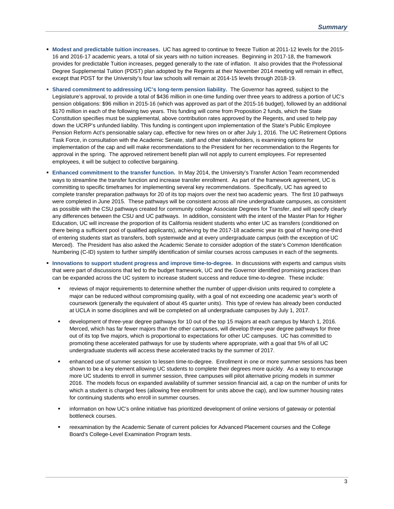- **Modest and predictable tuition increases.** UC has agreed to continue to freeze Tuition at 2011-12 levels for the 2015- 16 and 2016-17 academic years, a total of six years with no tuition increases. Beginning in 2017-18, the framework provides for predictable Tuition increases, pegged generally to the rate of inflation. It also provides that the Professional Degree Supplemental Tuition (PDST) plan adopted by the Regents at their November 2014 meeting will remain in effect, except that PDST for the University's four law schools will remain at 2014-15 levels through 2018-19.
- **Shared commitment to addressing UC's long-term pension liability.** The Governor has agreed, subject to the Legislature's approval, to provide a total of \$436 million in one-time funding over three years to address a portion of UC's pension obligations: \$96 million in 2015-16 (which was approved as part of the 2015-16 budget), followed by an additional \$170 million in each of the following two years. This funding will come from Proposition 2 funds, which the State Constitution specifies must be supplemental, above contribution rates approved by the Regents, and used to help pay down the UCRP's unfunded liability. This funding is contingent upon implementation of the State's Public Employee Pension Reform Act's pensionable salary cap, effective for new hires on or after July 1, 2016. The UC Retirement Options Task Force, in consultation with the Academic Senate, staff and other stakeholders, is examining options for implementation of the cap and will make recommendations to the President for her recommendation to the Regents for approval in the spring. The approved retirement benefit plan will not apply to current employees. For represented employees, it will be subject to collective bargaining.
- **Enhanced commitment to the transfer function.** In May 2014, the University's Transfer Action Team recommended ways to streamline the transfer function and increase transfer enrollment. As part of the framework agreement, UC is committing to specific timeframes for implementing several key recommendations. Specifically, UC has agreed to complete transfer preparation pathways for 20 of its top majors over the next two academic years. The first 10 pathways were completed in June 2015. These pathways will be consistent across all nine undergraduate campuses, as consistent as possible with the CSU pathways created for community college Associate Degrees for Transfer, and will specify clearly any differences between the CSU and UC pathways. In addition, consistent with the intent of the Master Plan for Higher Education, UC will increase the proportion of its California resident students who enter UC as transfers (conditioned on there being a sufficient pool of qualified applicants), achieving by the 2017-18 academic year its goal of having one-third of entering students start as transfers, both systemwide and at every undergraduate campus (with the exception of UC Merced). The President has also asked the Academic Senate to consider adoption of the state's Common Identification Numbering (C-ID) system to further simplify identification of similar courses across campuses in each of the segments.
- **Innovations to support student progress and improve time-to-degree.** In discussions with experts and campus visits that were part of discussions that led to the budget framework, UC and the Governor identified promising practices than can be expanded across the UC system to increase student success and reduce time-to-degree. These include:
	- reviews of major requirements to determine whether the number of upper-division units required to complete a major can be reduced without compromising quality, with a goal of not exceeding one academic year's worth of coursework (generally the equivalent of about 45 quarter units). This type of review has already been conducted at UCLA in some disciplines and will be completed on all undergraduate campuses by July 1, 2017.
	- development of three-year degree pathways for 10 out of the top 15 majors at each campus by March 1, 2016. Merced, which has far fewer majors than the other campuses, will develop three-year degree pathways for three out of its top five majors, which is proportional to expectations for other UC campuses. UC has committed to promoting these accelerated pathways for use by students where appropriate, with a goal that 5% of all UC undergraduate students will access these accelerated tracks by the summer of 2017.
	- enhanced use of summer session to lessen time-to-degree. Enrollment in one or more summer sessions has been shown to be a key element allowing UC students to complete their degrees more quickly. As a way to encourage more UC students to enroll in summer session, three campuses will pilot alternative pricing models in summer 2016. The models focus on expanded availability of summer session financial aid, a cap on the number of units for which a student is charged fees (allowing free enrollment for units above the cap), and low summer housing rates for continuing students who enroll in summer courses.
	- information on how UC's online initiative has prioritized development of online versions of gateway or potential bottleneck courses.
	- reexamination by the Academic Senate of current policies for Advanced Placement courses and the College Board's College-Level Examination Program tests.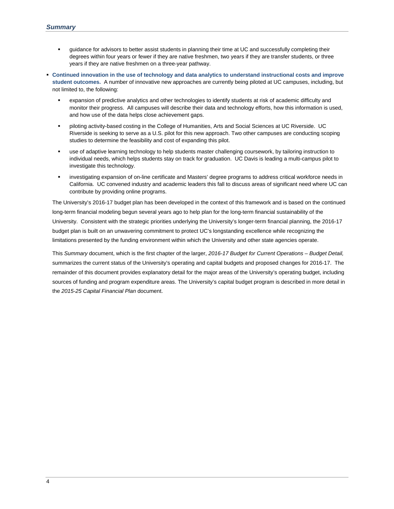- guidance for advisors to better assist students in planning their time at UC and successfully completing their degrees within four years or fewer if they are native freshmen, two years if they are transfer students, or three years if they are native freshmen on a three-year pathway.
- **Continued innovation in the use of technology and data analytics to understand instructional costs and improve student outcomes.** A number of innovative new approaches are currently being piloted at UC campuses, including, but not limited to, the following:
	- expansion of predictive analytics and other technologies to identify students at risk of academic difficulty and monitor their progress. All campuses will describe their data and technology efforts, how this information is used, and how use of the data helps close achievement gaps.
	- piloting activity-based costing in the College of Humanities, Arts and Social Sciences at UC Riverside. UC Riverside is seeking to serve as a U.S. pilot for this new approach. Two other campuses are conducting scoping studies to determine the feasibility and cost of expanding this pilot.
	- use of adaptive learning technology to help students master challenging coursework, by tailoring instruction to individual needs, which helps students stay on track for graduation. UC Davis is leading a multi-campus pilot to investigate this technology.
	- investigating expansion of on-line certificate and Masters' degree programs to address critical workforce needs in California. UC convened industry and academic leaders this fall to discuss areas of significant need where UC can contribute by providing online programs.

The University's 2016-17 budget plan has been developed in the context of this framework and is based on the continued long-term financial modeling begun several years ago to help plan for the long-term financial sustainability of the University. Consistent with the strategic priorities underlying the University's longer-term financial planning, the 2016-17 budget plan is built on an unwavering commitment to protect UC's longstanding excellence while recognizing the limitations presented by the funding environment within which the University and other state agencies operate.

This *Summary* document, which is the first chapter of the larger, *2016-17 Budget for Current Operations – Budget Detail,* summarizes the current status of the University's operating and capital budgets and proposed changes for 2016-17. The remainder of this document provides explanatory detail for the major areas of the University's operating budget, including sources of funding and program expenditure areas. The University's capital budget program is described in more detail in the *2015-25 Capital Financial Plan* document.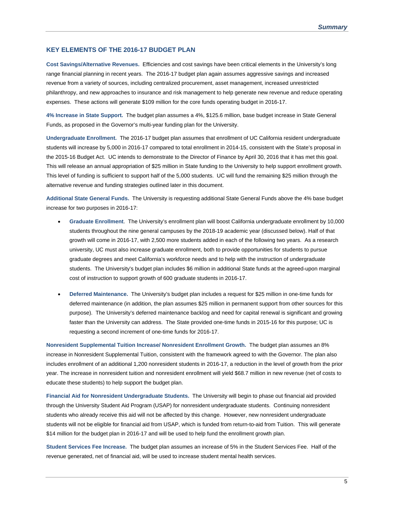#### **KEY ELEMENTS OF THE 2016-17 BUDGET PLAN**

**Cost Savings/Alternative Revenues.** Efficiencies and cost savings have been critical elements in the University's long range financial planning in recent years. The 2016-17 budget plan again assumes aggressive savings and increased revenue from a variety of sources, including centralized procurement, asset management, increased unrestricted philanthropy, and new approaches to insurance and risk management to help generate new revenue and reduce operating expenses. These actions will generate \$109 million for the core funds operating budget in 2016-17.

**4% Increase in State Support.** The budget plan assumes a 4%, \$125.6 million, base budget increase in State General Funds, as proposed in the Governor's multi-year funding plan for the University.

**Undergraduate Enrollment.** The 2016-17 budget plan assumes that enrollment of UC California resident undergraduate students will increase by 5,000 in 2016-17 compared to total enrollment in 2014-15, consistent with the State's proposal in the 2015-16 Budget Act. UC intends to demonstrate to the Director of Finance by April 30, 2016 that it has met this goal. This will release an annual appropriation of \$25 million in State funding to the University to help support enrollment growth. This level of funding is sufficient to support half of the 5,000 students. UC will fund the remaining \$25 million through the alternative revenue and funding strategies outlined later in this document.

**Additional State General Funds.** The University is requesting additional State General Funds above the 4% base budget increase for two purposes in 2016-17:

- **Graduate Enrollment**. The University's enrollment plan will boost California undergraduate enrollment by 10,000 students throughout the nine general campuses by the 2018-19 academic year (discussed below). Half of that growth will come in 2016-17, with 2,500 more students added in each of the following two years. As a research university, UC must also increase graduate enrollment, both to provide opportunities for students to pursue graduate degrees and meet California's workforce needs and to help with the instruction of undergraduate students. The University's budget plan includes \$6 million in additional State funds at the agreed-upon marginal cost of instruction to support growth of 600 graduate students in 2016-17.
- **Deferred Maintenance.** The University's budget plan includes a request for \$25 million in one-time funds for deferred maintenance (in addition, the plan assumes \$25 million in permanent support from other sources for this purpose). The University's deferred maintenance backlog and need for capital renewal is significant and growing faster than the University can address. The State provided one-time funds in 2015-16 for this purpose; UC is requesting a second increment of one-time funds for 2016-17.

**Nonresident Supplemental Tuition Increase/ Nonresident Enrollment Growth.** The budget plan assumes an 8% increase in Nonresident Supplemental Tuition, consistent with the framework agreed to with the Governor. The plan also includes enrollment of an additional 1,200 nonresident students in 2016-17, a reduction in the level of growth from the prior year. The increase in nonresident tuition and nonresident enrollment will yield \$68.7 million in new revenue (net of costs to educate these students) to help support the budget plan.

**Financial Aid for Nonresident Undergraduate Students.** The University will begin to phase out financial aid provided through the University Student Aid Program (USAP) for nonresident undergraduate students. Continuing nonresident students who already receive this aid will not be affected by this change. However, new nonresident undergraduate students will not be eligible for financial aid from USAP, which is funded from return-to-aid from Tuition. This will generate \$14 million for the budget plan in 2016-17 and will be used to help fund the enrollment growth plan.

**Student Services Fee Increase.** The budget plan assumes an increase of 5% in the Student Services Fee. Half of the revenue generated, net of financial aid, will be used to increase student mental health services.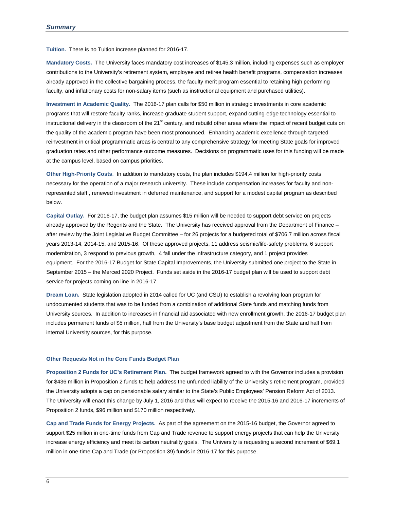**Tuition.** There is no Tuition increase planned for 2016-17.

**Mandatory Costs.** The University faces mandatory cost increases of \$145.3 million, including expenses such as employer contributions to the University's retirement system, employee and retiree health benefit programs, compensation increases already approved in the collective bargaining process, the faculty merit program essential to retaining high performing faculty, and inflationary costs for non-salary items (such as instructional equipment and purchased utilities).

**Investment in Academic Quality.** The 2016-17 plan calls for \$50 million in strategic investments in core academic programs that will restore faculty ranks, increase graduate student support, expand cutting-edge technology essential to instructional delivery in the classroom of the 21<sup>st</sup> century, and rebuild other areas where the impact of recent budget cuts on the quality of the academic program have been most pronounced. Enhancing academic excellence through targeted reinvestment in critical programmatic areas is central to any comprehensive strategy for meeting State goals for improved graduation rates and other performance outcome measures. Decisions on programmatic uses for this funding will be made at the campus level, based on campus priorities.

**Other High-Priority Costs**. In addition to mandatory costs, the plan includes \$194.4 million for high-priority costs necessary for the operation of a major research university. These include compensation increases for faculty and nonrepresented staff , renewed investment in deferred maintenance, and support for a modest capital program as described below.

**Capital Outlay.** For 2016-17, the budget plan assumes \$15 million will be needed to support debt service on projects already approved by the Regents and the State. The University has received approval from the Department of Finance – after review by the Joint Legislative Budget Committee – for 26 projects for a budgeted total of \$706.7 million across fiscal years 2013-14, 2014-15, and 2015-16. Of these approved projects, 11 address seismic/life-safety problems, 6 support modernization, 3 respond to previous growth, 4 fall under the infrastructure category, and 1 project provides equipment. For the 2016-17 Budget for State Capital Improvements, the University submitted one project to the State in September 2015 – the Merced 2020 Project. Funds set aside in the 2016-17 budget plan will be used to support debt service for projects coming on line in 2016-17.

**Dream Loan.** State legislation adopted in 2014 called for UC (and CSU) to establish a revolving loan program for undocumented students that was to be funded from a combination of additional State funds and matching funds from University sources. In addition to increases in financial aid associated with new enrollment growth, the 2016-17 budget plan includes permanent funds of \$5 million, half from the University's base budget adjustment from the State and half from internal University sources, for this purpose.

#### **Other Requests Not in the Core Funds Budget Plan**

**Proposition 2 Funds for UC's Retirement Plan.** The budget framework agreed to with the Governor includes a provision for \$436 million in Proposition 2 funds to help address the unfunded liability of the University's retirement program, provided the University adopts a cap on pensionable salary similar to the State's Public Employees' Pension Reform Act of 2013. The University will enact this change by July 1, 2016 and thus will expect to receive the 2015-16 and 2016-17 increments of Proposition 2 funds, \$96 million and \$170 million respectively.

**Cap and Trade Funds for Energy Projects.** As part of the agreement on the 2015-16 budget, the Governor agreed to support \$25 million in one-time funds from Cap and Trade revenue to support energy projects that can help the University increase energy efficiency and meet its carbon neutrality goals. The University is requesting a second increment of \$69.1 million in one-time Cap and Trade (or Proposition 39) funds in 2016-17 for this purpose.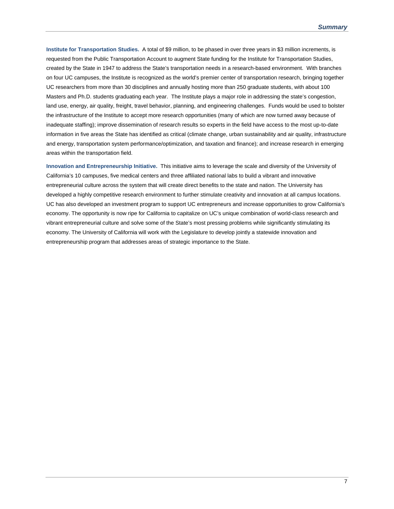**Institute for Transportation Studies.** A total of \$9 million, to be phased in over three years in \$3 million increments, is requested from the Public Transportation Account to augment State funding for the Institute for Transportation Studies, created by the State in 1947 to address the State's transportation needs in a research-based environment. With branches on four UC campuses, the Institute is recognized as the world's premier center of transportation research, bringing together UC researchers from more than 30 disciplines and annually hosting more than 250 graduate students, with about 100 Masters and Ph.D. students graduating each year. The Institute plays a major role in addressing the state's congestion, land use, energy, air quality, freight, travel behavior, planning, and engineering challenges. Funds would be used to bolster the infrastructure of the Institute to accept more research opportunities (many of which are now turned away because of inadequate staffing); improve dissemination of research results so experts in the field have access to the most up-to-date information in five areas the State has identified as critical (climate change, urban sustainability and air quality, infrastructure and energy, transportation system performance/optimization, and taxation and finance); and increase research in emerging areas within the transportation field.

**Innovation and Entrepreneurship Initiative.** This initiative aims to leverage the scale and diversity of the University of California's 10 campuses, five medical centers and three affiliated national labs to build a vibrant and innovative entrepreneurial culture across the system that will create direct benefits to the state and nation. The University has developed a highly competitive research environment to further stimulate creativity and innovation at all campus locations. UC has also developed an investment program to support UC entrepreneurs and increase opportunities to grow California's economy. The opportunity is now ripe for California to capitalize on UC's unique combination of world-class research and vibrant entrepreneurial culture and solve some of the State's most pressing problems while significantly stimulating its economy. The University of California will work with the Legislature to develop jointly a statewide innovation and entrepreneurship program that addresses areas of strategic importance to the State.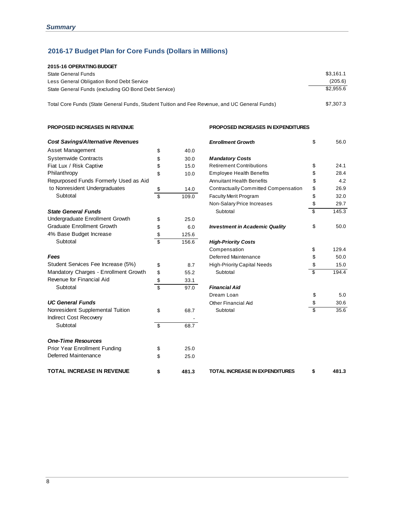# **2016-17 Budget Plan for Core Funds (Dollars in Millions)**

| 2015-16 OPERATING BUDGET                                                                      |           |
|-----------------------------------------------------------------------------------------------|-----------|
| State General Funds                                                                           | \$3.161.1 |
| Less General Obligation Bond Debt Service                                                     | (205.6)   |
| State General Funds (excluding GO Bond Debt Service)                                          | \$2.955.6 |
|                                                                                               |           |
| Total Core Funds (State General Funds, Student Tuition and Fee Revenue, and UC General Funds) | \$7.307.3 |

#### **PROPOSED INCREASES IN REVENUE PROPOSED INCREASES IN EXPENDITURES**

| Cost Savings/Alternative Revenues     |                          |       | <b>Enrollment Growth</b>              | \$<br>56.0  |
|---------------------------------------|--------------------------|-------|---------------------------------------|-------------|
| Asset Management                      | \$                       | 40.0  |                                       |             |
| <b>Systemwide Contracts</b>           | \$                       | 30.0  | <b>Mandatory Costs</b>                |             |
| Fiat Lux / Risk Captive               | \$                       | 15.0  | <b>Retirement Contributions</b>       | \$<br>24.1  |
| Philanthropy                          | \$                       | 10.0  | <b>Employee Health Benefits</b>       | \$<br>28.4  |
| Repurposed Funds Formerly Used as Aid |                          |       | <b>Annuitant Health Benefits</b>      | \$<br>4.2   |
| to Nonresident Undergraduates         | \$                       | 14.0  | Contractually Committed Compensation  | \$<br>26.9  |
| Subtotal                              | $\overline{\mathcal{S}}$ | 109.0 | Faculty Merit Program                 | \$<br>32.0  |
|                                       |                          |       | Non-Salary Price Increases            | \$<br>29.7  |
| <b>State General Funds</b>            |                          |       | Subtotal                              | \$<br>145.3 |
| Undergraduate Enrollment Growth       | \$                       | 25.0  |                                       |             |
| <b>Graduate Enrollment Growth</b>     | \$                       | 6.0   | <b>Investment in Academic Quality</b> | \$<br>50.0  |
| 4% Base Budget Increase               | \$                       | 125.6 |                                       |             |
| Subtotal                              | \$                       | 156.6 | <b>High-Priority Costs</b>            |             |
|                                       |                          |       | Compensation                          | \$<br>129.4 |
| Fees                                  |                          |       | Deferred Maintenance                  | \$<br>50.0  |
| Student Services Fee Increase (5%)    | \$                       | 8.7   | <b>High-Priority Capital Needs</b>    | \$<br>15.0  |
| Mandatory Charges - Enrollment Growth | \$                       | 55.2  | Subtotal                              | \$<br>194.4 |
| Revenue for Financial Aid             | \$                       | 33.1  |                                       |             |
| Subtotal                              | $\overline{\mathsf{s}}$  | 97.0  | <b>Financial Aid</b>                  |             |
|                                       |                          |       | Dream Loan                            | \$<br>5.0   |
| <b>UC General Funds</b>               |                          |       | Other Financial Aid                   | \$<br>30.6  |
| Nonresident Supplemental Tuition      | \$                       | 68.7  | Subtotal                              | \$<br>35.6  |
| Indirect Cost Recovery                |                          |       |                                       |             |
| Subtotal                              | \$                       | 68.7  |                                       |             |
| <b>One-Time Resources</b>             |                          |       |                                       |             |
| <b>Prior Year Enrollment Funding</b>  | \$                       | 25.0  |                                       |             |
| Deferred Maintenance                  | \$                       | 25.0  |                                       |             |
| <b>TOTAL INCREASE IN REVENUE</b>      | \$                       | 481.3 | <b>TOTAL INCREASE IN EXPENDITURES</b> | \$<br>481.3 |

| <b>Enrollment Growth</b>              | \$<br>56.0  |
|---------------------------------------|-------------|
| <b>Mandatory Costs</b>                |             |
| <b>Retirement Contributions</b>       | \$<br>24.1  |
| <b>Employee Health Benefits</b>       | \$<br>28.4  |
| Annuitant Health Benefits             | \$<br>4.2   |
| Contractually Committed Compensation  | \$<br>26.9  |
| <b>Faculty Merit Program</b>          | \$<br>32.0  |
| Non-Salary Price Increases            | \$<br>29.7  |
| Subtotal                              | \$<br>145.3 |
| <b>Investment in Academic Quality</b> | \$<br>50.0  |
| <b>High-Priority Costs</b>            |             |
| Compensation                          | \$<br>129.4 |
| Deferred Maintenance                  | \$<br>50.0  |
| <b>High-Priority Capital Needs</b>    | \$<br>15.0  |
| Subtotal                              | \$<br>194.4 |
| <b>Financial Aid</b>                  |             |
| Dream Loan                            | \$<br>5.0   |
| Other Financial Aid                   | \$<br>30.6  |
| Subtotal                              | \$<br>35.6  |
|                                       |             |

**\$** 481.3 TOTAL INCREASE IN EXPENDITURES \$ 481.3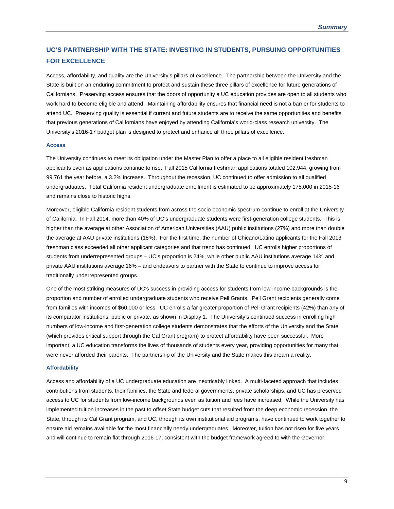## **UC'S PARTNERSHIP WITH THE STATE: INVESTING IN STUDENTS, PURSUING OPPORTUNITIES FOR EXCELLENCE**

Access, affordability, and quality are the University's pillars of excellence. The partnership between the University and the State is built on an enduring commitment to protect and sustain these three pillars of excellence for future generations of Californians. Preserving access ensures that the doors of opportunity a UC education provides are open to all students who work hard to become eligible and attend. Maintaining affordability ensures that financial need is not a barrier for students to attend UC. Preserving quality is essential if current and future students are to receive the same opportunities and benefits that previous generations of Californians have enjoyed by attending California's world-class research university. The University's 2016-17 budget plan is designed to protect and enhance all three pillars of excellence.

#### **Access**

The University continues to meet its obligation under the Master Plan to offer a place to all eligible resident freshman applicants even as applications continue to rise. Fall 2015 California freshman applications totaled 102,944, growing from 99,761 the year before, a 3.2% increase. Throughout the recession, UC continued to offer admission to all qualified undergraduates. Total California resident undergraduate enrollment is estimated to be approximately 175,000 in 2015-16 and remains close to historic highs.

Moreover, eligible California resident students from across the socio-economic spectrum continue to enroll at the University of California. In Fall 2014, more than 40% of UC's undergraduate students were first-generation college students. This is higher than the average at other Association of American Universities (AAU) public institutions (27%) and more than double the average at AAU private institutions (18%). For the first time, the number of Chicano/Latino applicants for the Fall 2013 freshman class exceeded all other applicant categories and that trend has continued. UC enrolls higher proportions of students from underrepresented groups – UC's proportion is 24%, while other public AAU institutions average 14% and private AAU institutions average 16% – and endeavors to partner with the State to continue to improve access for traditionally underrepresented groups.

One of the most striking measures of UC's success in providing access for students from low-income backgrounds is the proportion and number of enrolled undergraduate students who receive Pell Grants. Pell Grant recipients generally come from families with incomes of \$60,000 or less. UC enrolls a far greater proportion of Pell Grant recipients (42%) than any of its comparator institutions, public or private, as shown in Display 1. The University's continued success in enrolling high numbers of low-income and first-generation college students demonstrates that the efforts of the University and the State (which provides critical support through the Cal Grant program) to protect affordability have been successful. More important, a UC education transforms the lives of thousands of students every year, providing opportunities for many that were never afforded their parents. The partnership of the University and the State makes this dream a reality.

#### **Affordability**

Access and affordability of a UC undergraduate education are inextricably linked. A multi-faceted approach that includes contributions from students, their families, the State and federal governments, private scholarships, and UC has preserved access to UC for students from low-income backgrounds even as tuition and fees have increased. While the University has implemented tuition increases in the past to offset State budget cuts that resulted from the deep economic recession, the State, through its Cal Grant program, and UC, through its own institutional aid programs, have continued to work together to ensure aid remains available for the most financially needy undergraduates. Moreover, tuition has not risen for five years and will continue to remain flat through 2016-17, consistent with the budget framework agreed to with the Governor.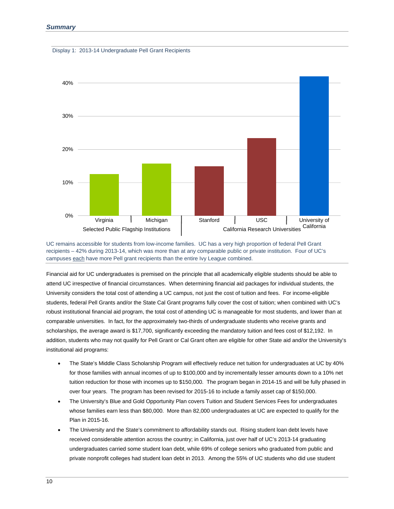



UC remains accessible for students from low-income families. UC has a very high proportion of federal Pell Grant recipients – 42% during 2013-14, which was more than at any comparable public or private institution. Four of UC's campuses each have more Pell grant recipients than the entire Ivy League combined.

Financial aid for UC undergraduates is premised on the principle that all academically eligible students should be able to attend UC irrespective of financial circumstances. When determining financial aid packages for individual students, the University considers the total cost of attending a UC campus, not just the cost of tuition and fees. For income-eligible students, federal Pell Grants and/or the State Cal Grant programs fully cover the cost of tuition; when combined with UC's robust institutional financial aid program, the total cost of attending UC is manageable for most students, and lower than at comparable universities. In fact, for the approximately two-thirds of undergraduate students who receive grants and scholarships, the average award is \$17,700, significantly exceeding the mandatory tuition and fees cost of \$12,192. In addition, students who may not qualify for Pell Grant or Cal Grant often are eligible for other State aid and/or the University's institutional aid programs:

- The State's Middle Class Scholarship Program will effectively reduce net tuition for undergraduates at UC by 40% for those families with annual incomes of up to \$100,000 and by incrementally lesser amounts down to a 10% net tuition reduction for those with incomes up to \$150,000. The program began in 2014-15 and will be fully phased in over four years. The program has been revised for 2015-16 to include a family asset cap of \$150,000.
- The University's Blue and Gold Opportunity Plan covers Tuition and Student Services Fees for undergraduates whose families earn less than \$80,000. More than 82,000 undergraduates at UC are expected to qualify for the Plan in 2015-16.
- The University and the State's commitment to affordability stands out. Rising student loan debt levels have received considerable attention across the country; in California, just over half of UC's 2013-14 graduating undergraduates carried some student loan debt, while 69% of college seniors who graduated from public and private nonprofit colleges had student loan debt in 2013. Among the 55% of UC students who did use student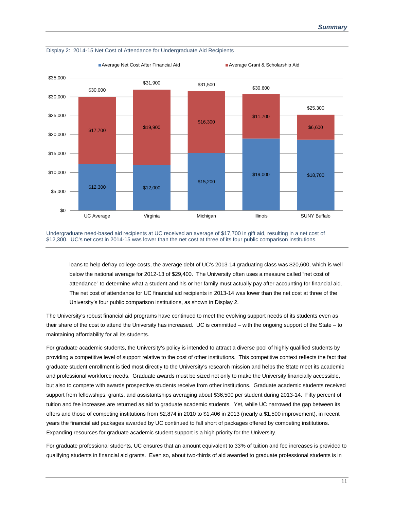

Display 2: 2014-15 Net Cost of Attendance for Undergraduate Aid Recipients

Undergraduate need-based aid recipients at UC received an average of \$17,700 in gift aid, resulting in a net cost of \$12,300. UC's net cost in 2014-15 was lower than the net cost at three of its four public comparison institutions.

loans to help defray college costs, the average debt of UC's 2013-14 graduating class was \$20,600, which is well below the national average for 2012-13 of \$29,400. The University often uses a measure called "net cost of attendance" to determine what a student and his or her family must actually pay after accounting for financial aid. The net cost of attendance for UC financial aid recipients in 2013-14 was lower than the net cost at three of the University's four public comparison institutions, as shown in Display 2.

The University's robust financial aid programs have continued to meet the evolving support needs of its students even as their share of the cost to attend the University has increased. UC is committed – with the ongoing support of the State – to maintaining affordability for all its students.

For graduate academic students, the University's policy is intended to attract a diverse pool of highly qualified students by providing a competitive level of support relative to the cost of other institutions. This competitive context reflects the fact that graduate student enrollment is tied most directly to the University's research mission and helps the State meet its academic and professional workforce needs. Graduate awards must be sized not only to make the University financially accessible, but also to compete with awards prospective students receive from other institutions. Graduate academic students received support from fellowships, grants, and assistantships averaging about \$36,500 per student during 2013-14. Fifty percent of tuition and fee increases are returned as aid to graduate academic students. Yet, while UC narrowed the gap between its offers and those of competing institutions from \$2,874 in 2010 to \$1,406 in 2013 (nearly a \$1,500 improvement), in recent years the financial aid packages awarded by UC continued to fall short of packages offered by competing institutions. Expanding resources for graduate academic student support is a high priority for the University.

For graduate professional students, UC ensures that an amount equivalent to 33% of tuition and fee increases is provided to qualifying students in financial aid grants. Even so, about two-thirds of aid awarded to graduate professional students is in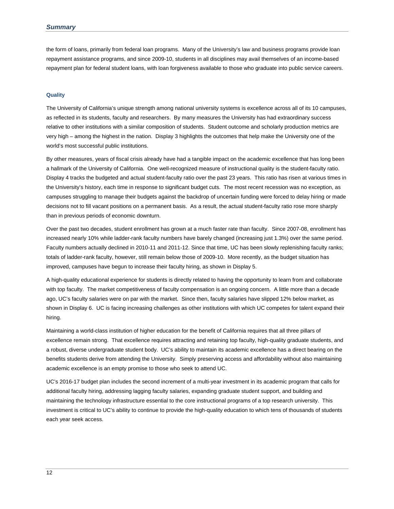the form of loans, primarily from federal loan programs. Many of the University's law and business programs provide loan repayment assistance programs, and since 2009-10, students in all disciplines may avail themselves of an income-based repayment plan for federal student loans, with loan forgiveness available to those who graduate into public service careers.

#### **Quality**

The University of California's unique strength among national university systems is excellence across all of its 10 campuses, as reflected in its students, faculty and researchers. By many measures the University has had extraordinary success relative to other institutions with a similar composition of students. Student outcome and scholarly production metrics are very high – among the highest in the nation. Display 3 highlights the outcomes that help make the University one of the world's most successful public institutions.

By other measures, years of fiscal crisis already have had a tangible impact on the academic excellence that has long been a hallmark of the University of California. One well-recognized measure of instructional quality is the student-faculty ratio. Display 4 tracks the budgeted and actual student-faculty ratio over the past 23 years. This ratio has risen at various times in the University's history, each time in response to significant budget cuts. The most recent recession was no exception, as campuses struggling to manage their budgets against the backdrop of uncertain funding were forced to delay hiring or made decisions not to fill vacant positions on a permanent basis. As a result, the actual student-faculty ratio rose more sharply than in previous periods of economic downturn.

Over the past two decades, student enrollment has grown at a much faster rate than faculty. Since 2007-08, enrollment has increased nearly 10% while ladder-rank faculty numbers have barely changed (increasing just 1.3%) over the same period. Faculty numbers actually declined in 2010-11 and 2011-12. Since that time, UC has been slowly replenishing faculty ranks; totals of ladder-rank faculty, however, still remain below those of 2009-10. More recently, as the budget situation has improved, campuses have begun to increase their faculty hiring, as shown in Display 5.

A high-quality educational experience for students is directly related to having the opportunity to learn from and collaborate with top faculty. The market competitiveness of faculty compensation is an ongoing concern. A little more than a decade ago, UC's faculty salaries were on par with the market. Since then, faculty salaries have slipped 12% below market, as shown in Display 6. UC is facing increasing challenges as other institutions with which UC competes for talent expand their hiring.

Maintaining a world-class institution of higher education for the benefit of California requires that all three pillars of excellence remain strong. That excellence requires attracting and retaining top faculty, high-quality graduate students, and a robust, diverse undergraduate student body. UC's ability to maintain its academic excellence has a direct bearing on the benefits students derive from attending the University. Simply preserving access and affordability without also maintaining academic excellence is an empty promise to those who seek to attend UC.

UC's 2016-17 budget plan includes the second increment of a multi-year investment in its academic program that calls for additional faculty hiring, addressing lagging faculty salaries, expanding graduate student support, and building and maintaining the technology infrastructure essential to the core instructional programs of a top research university. This investment is critical to UC's ability to continue to provide the high-quality education to which tens of thousands of students each year seek access.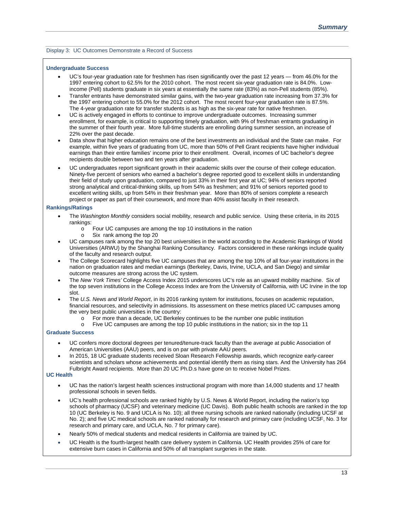#### Display 3: UC Outcomes Demonstrate a Record of Success

#### **Undergraduate Success**

- UC's four-year graduation rate for freshmen has risen significantly over the past 12 years from 46.0% for the 1997 entering cohort to 62.5% for the 2010 cohort. The most recent six-year graduation rate is 84.0%. Lowincome (Pell) students graduate in six years at essentially the same rate (83%) as non-Pell students (85%).
- Transfer entrants have demonstrated similar gains, with the two-year graduation rate increasing from 37.3% for the 1997 entering cohort to 55.0% for the 2012 cohort. The most recent four-year graduation rate is 87.5%. The 4-year graduation rate for transfer students is as high as the six-year rate for native freshmen.
- UC is actively engaged in efforts to continue to improve undergraduate outcomes. Increasing summer enrollment, for example, is critical to supporting timely graduation, with 9% of freshman entrants graduating in the summer of their fourth year. More full-time students are enrolling during summer session, an increase of 22% over the past decade.
- Data show that higher education remains one of the best investments an individual and the State can make. For example, within five years of graduating from UC, more than 50% of Pell Grant recipients have higher individual earnings than their entire families' income prior to their enrollment. Overall, incomes of UC bachelor's degree recipients double between two and ten years after graduation.
- UC undergraduates report significant growth in their academic skills over the course of their college education. Ninety-five percent of seniors who earned a bachelor's degree reported good to excellent skills in understanding their field of study upon graduation, compared to just 33% in their first year at UC; 94% of seniors reported strong analytical and critical-thinking skills, up from 54% as freshmen; and 91% of seniors reported good to excellent writing skills, up from 54% in their freshman year. More than 80% of seniors complete a research project or paper as part of their coursework, and more than 40% assist faculty in their research.

#### **Rankings/Ratings**

- The *Washington Monthly* considers social mobility, research and public service. Using these criteria, in its 2015 rankings:
	- o Four UC campuses are among the top 10 institutions in the nation
	- o Six rank among the top 20
- UC campuses rank among the top 20 best universities in the world according to the Academic Rankings of World Universities (ARWU) by the Shanghai Ranking Consultancy. Factors considered in these rankings include quality of the faculty and research output.
- The College Scorecard highlights five UC campuses that are among the top 10% of all four-year institutions in the nation on graduation rates and median earnings (Berkeley, Davis, Irvine, UCLA, and San Diego) and similar outcome measures are strong across the UC system.
- The *New York Times'* College Access Index 2015 underscores UC's role as an upward mobility machine. Six of the top seven institutions in the College Access Index are from the University of California, with UC Irvine in the top slot.
- The *U.S. News and World Report*, in its 2016 ranking system for institutions, focuses on academic reputation, financial resources, and selectivity in admissions. Its assessment on these metrics placed UC campuses among the very best public universities in the country:
	- o For more than a decade, UC Berkeley continues to be the number one public institution<br>Five UC campuses are among the top 10 public institutions in the nation: six in the top 1
	- Five UC campuses are among the top 10 public institutions in the nation; six in the top 11

#### **Graduate Success**

- UC confers more doctoral degrees per tenured/tenure-track faculty than the average at public Association of American Universities (AAU) peers, and is on par with private AAU peers.
- In 2015, 18 UC graduate students received Sloan Research Fellowship awards, which recognize early-career scientists and scholars whose achievements and potential identify them as rising stars. And the University has 264 Fulbright Award recipients. More than 20 UC Ph.D.s have gone on to receive Nobel Prizes.

#### **UC Health**

- UC has the nation's largest health sciences instructional program with more than 14,000 students and 17 health professional schools in seven fields.
- UC's health professional schools are ranked highly by U.S. News & World Report, including the nation's top schools of pharmacy (UCSF) and veterinary medicine (UC Davis). Both public health schools are ranked in the top 10 (UC Berkeley is No. 9 and UCLA is No. 10); all three nursing schools are ranked nationally (including UCSF at No. 2); and five UC medical schools are ranked nationally for research and primary care (including UCSF, No. 3 for research and primary care, and UCLA, No. 7 for primary care).
- Nearly 50% of medical students and medical residents in California are trained by UC.
- UC Health is the fourth-largest health care delivery system in California. UC Health provides 25% of care for extensive burn cases in California and 50% of all transplant surgeries in the state.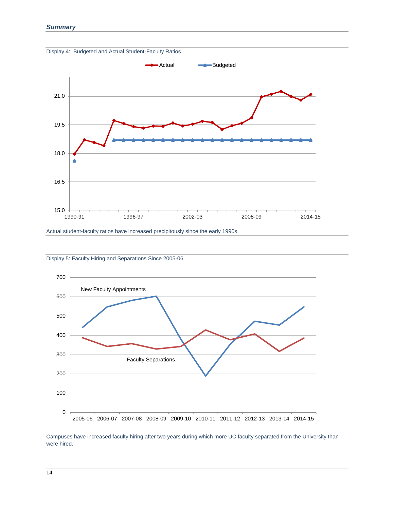



Actual student-faculty ratios have increased precipitously since the early 1990s.





Campuses have increased faculty hiring after two years during which more UC faculty separated from the University than were hired.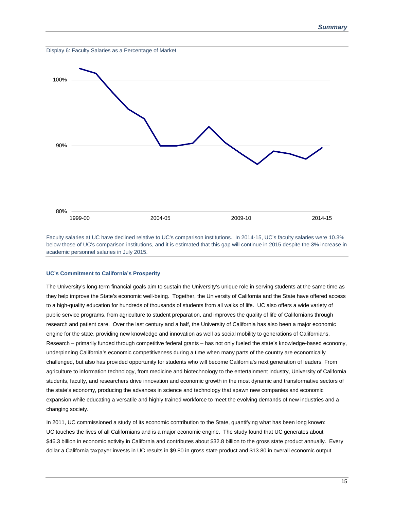

Faculty salaries at UC have declined relative to UC's comparison institutions. In 2014-15, UC's faculty salaries were 10.3% below those of UC's comparison institutions, and it is estimated that this gap will continue in 2015 despite the 3% increase in academic personnel salaries in July 2015.

#### **UC's Commitment to California's Prosperity**

The University's long-term financial goals aim to sustain the University's unique role in serving students at the same time as they help improve the State's economic well-being. Together, the University of California and the State have offered access to a high-quality education for hundreds of thousands of students from all walks of life. UC also offers a wide variety of public service programs, from agriculture to student preparation, and improves the quality of life of Californians through research and patient care. Over the last century and a half, the University of California has also been a major economic engine for the state, providing new knowledge and innovation as well as social mobility to generations of Californians. Research – primarily funded through competitive federal grants – has not only fueled the state's knowledge-based economy, underpinning California's economic competitiveness during a time when many parts of the country are economically challenged, but also has provided opportunity for students who will become California's next generation of leaders. From agriculture to information technology, from medicine and biotechnology to the entertainment industry, University of California students, faculty, and researchers drive innovation and economic growth in the most dynamic and transformative sectors of the state's economy, producing the advances in science and technology that spawn new companies and economic expansion while educating a versatile and highly trained workforce to meet the evolving demands of new industries and a changing society.

In 2011, UC commissioned a study of its economic contribution to the State, quantifying what has been long known: UC touches the lives of all Californians and is a major economic engine. The study found that UC generates about \$46.3 billion in economic activity in California and contributes about \$32.8 billion to the gross state product annually. Every dollar a California taxpayer invests in UC results in \$9.80 in gross state product and \$13.80 in overall economic output.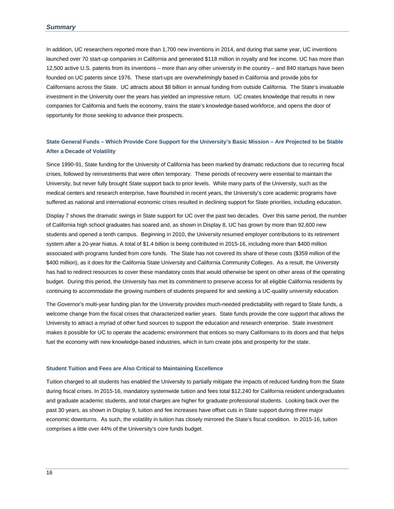In addition, UC researchers reported more than 1,700 new inventions in 2014, and during that same year, UC inventions launched over 70 start-up companies in California and generated \$118 million in royalty and fee income. UC has more than 12,500 active U.S. patents from its inventions – more than any other university in the country – and 840 startups have been founded on UC patents since 1976. These start-ups are overwhelmingly based in California and provide jobs for Californians across the State. UC attracts about \$8 billion in annual funding from outside California. The State's invaluable investment in the University over the years has yielded an impressive return. UC creates knowledge that results in new companies for California and fuels the economy, trains the state's knowledge-based workforce, and opens the door of opportunity for those seeking to advance their prospects.

### **State General Funds – Which Provide Core Support for the University's Basic Mission – Are Projected to be Stable After a Decade of Volatility**

Since 1990-91, State funding for the University of California has been marked by dramatic reductions due to recurring fiscal crises, followed by reinvestments that were often temporary. These periods of recovery were essential to maintain the University, but never fully brought State support back to prior levels. While many parts of the University, such as the medical centers and research enterprise, have flourished in recent years, the University's core academic programs have suffered as national and international economic crises resulted in declining support for State priorities, including education.

Display 7 shows the dramatic swings in State support for UC over the past two decades. Over this same period, the number of California high school graduates has soared and, as shown in Display 8, UC has grown by more than 92,600 new students and opened a tenth campus. Beginning in 2010, the University resumed employer contributions to its retirement system after a 20-year hiatus. A total of \$1.4 billion is being contributed in 2015-16, including more than \$400 million associated with programs funded from core funds. The State has not covered its share of these costs (\$359 million of the \$400 million), as it does for the California State University and California Community Colleges. As a result, the University has had to redirect resources to cover these mandatory costs that would otherwise be spent on other areas of the operating budget. During this period, the University has met its commitment to preserve access for all eligible California residents by continuing to accommodate the growing numbers of students prepared for and seeking a UC-quality university education.

The Governor's multi-year funding plan for the University provides much-needed predictability with regard to State funds, a welcome change from the fiscal crises that characterized earlier years. State funds provide the core support that allows the University to attract a myriad of other fund sources to support the education and research enterprise. State investment makes it possible for UC to operate the academic environment that entices so many Californians to its doors and that helps fuel the economy with new knowledge-based industries, which in turn create jobs and prosperity for the state.

#### **Student Tuition and Fees are Also Critical to Maintaining Excellence**

Tuition charged to all students has enabled the University to partially mitigate the impacts of reduced funding from the State during fiscal crises. In 2015-16, mandatory systemwide tuition and fees total \$12,240 for California resident undergraduates and graduate academic students, and total charges are higher for graduate professional students. Looking back over the past 30 years, as shown in Display 9, tuition and fee increases have offset cuts in State support during three major economic downturns. As such, the volatility in tuition has closely mirrored the State's fiscal condition. In 2015-16, tuition comprises a little over 44% of the University's core funds budget.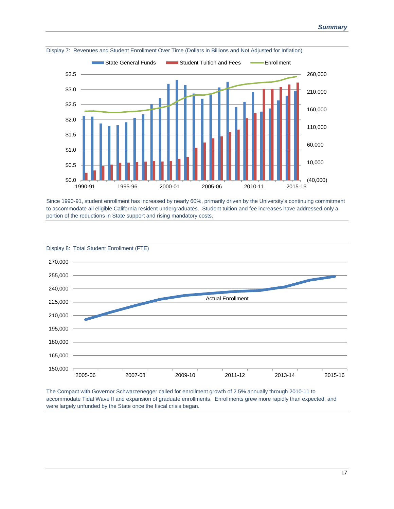

Display 7: Revenues and Student Enrollment Over Time (Dollars in Billions and Not Adjusted for Inflation)

Since 1990-91, student enrollment has increased by nearly 60%, primarily driven by the University's continuing commitment to accommodate all eligible California resident undergraduates. Student tuition and fee increases have addressed only a portion of the reductions in State support and rising mandatory costs.



The Compact with Governor Schwarzenegger called for enrollment growth of 2.5% annually through 2010-11 to accommodate Tidal Wave II and expansion of graduate enrollments. Enrollments grew more rapidly than expected; and were largely unfunded by the State once the fiscal crisis began.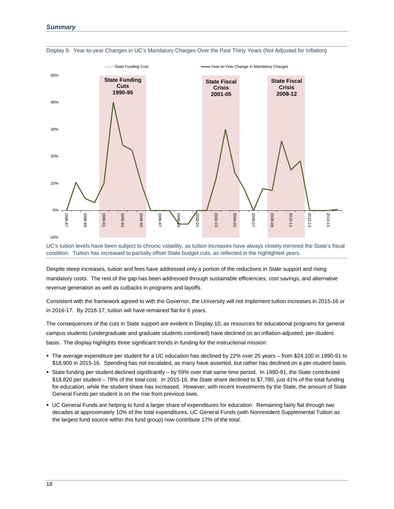

Display 9: Year-to-year Changes in UC's Mandatory Charges Over the Past Thirty Years (Not Adjusted for Inflation)

UC's tuition levels have been subject to chronic volatility, as tuition increases have always closely mirrored the State's fiscal condition. Tuition has increased to partially offset State budget cuts, as reflected in the highlighted years.

Despite steep increases, tuition and fees have addressed only a portion of the reductions in State support and rising mandatory costs. The rest of the gap has been addressed through sustainable efficiencies, cost savings, and alternative revenue generation as well as cutbacks in programs and layoffs.

Consistent with the framework agreed to with the Governor, the University will not implement tuition increases in 2015-16 or in 2016-17. By 2016-17, tuition will have remained flat for 6 years.

The consequences of the cuts in State support are evident in Display 10, as resources for educational programs for general campus students (undergraduate and graduate students combined) have declined on an inflation-adjusted, per-student basis. The display highlights three significant trends in funding for the instructional mission:

- The average expenditure per student for a UC education has declined by 22% over 25 years from \$24,100 in 1990-91 to \$18,900 in 2015-16. Spending has not escalated, as many have asserted, but rather has declined on a per-student basis.
- State funding per student declined significantly by 59% over that same time period. In 1990-91, the State contributed \$18,820 per student – 78% of the total cost. In 2015-16, the State share declined to \$7,780, just 41% of the total funding for education, while the student share has increased. However, with recent investments by the State, the amount of State General Funds per student is on the rise from previous lows.
- UC General Funds are helping to fund a larger share of expenditures for education. Remaining fairly flat through two decades at approximately 10% of the total expenditures, UC General Funds (with Nonresident Supplemental Tuition as the largest fund source within this fund group) now contribute 17% of the total.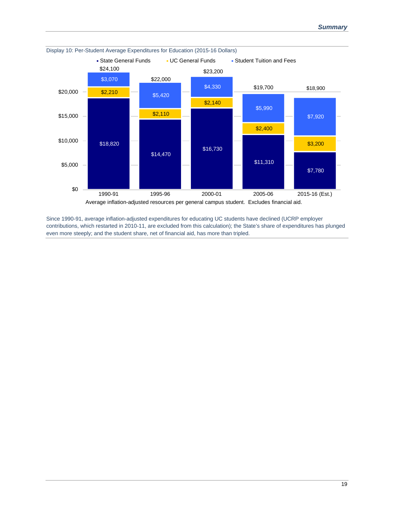

Since 1990-91, average inflation-adjusted expenditures for educating UC students have declined (UCRP employer contributions, which restarted in 2010-11, are excluded from this calculation); the State's share of expenditures has plunged even more steeply; and the student share, net of financial aid, has more than tripled.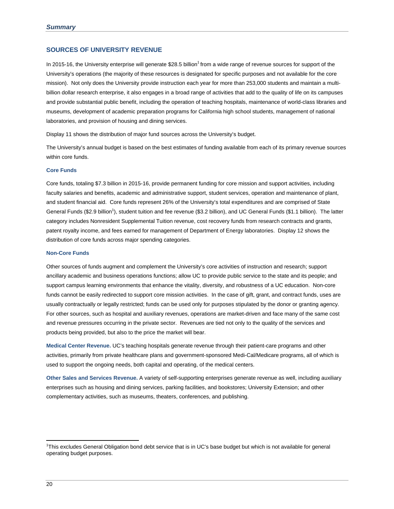#### **SOURCES OF UNIVERSITY REVENUE**

In 2015-16, the University enterprise will generate \$28.5 billion<sup>1</sup> from a wide range of revenue sources for support of the University's operations (the majority of these resources is designated for specific purposes and not available for the core mission). Not only does the University provide instruction each year for more than 253,000 students and maintain a multibillion dollar research enterprise, it also engages in a broad range of activities that add to the quality of life on its campuses and provide substantial public benefit, including the operation of teaching hospitals, maintenance of world-class libraries and museums, development of academic preparation programs for California high school students, management of national laboratories, and provision of housing and dining services.

Display 11 shows the distribution of major fund sources across the University's budget.

The University's annual budget is based on the best estimates of funding available from each of its primary revenue sources within core funds.

#### **Core Funds**

Core funds, totaling \$7.3 billion in 2015-16, provide permanent funding for core mission and support activities, including faculty salaries and benefits, academic and administrative support, student services, operation and maintenance of plant, and student financial aid. Core funds represent 26% of the University's total expenditures and are comprised of State General Funds (\$2.9 billion<sup>1</sup>), student tuition and fee revenue (\$3.2 billion), and UC General Funds (\$1.1 billion). The latter category includes Nonresident Supplemental Tuition revenue, cost recovery funds from research contracts and grants, patent royalty income, and fees earned for management of Department of Energy laboratories. Display 12 shows the distribution of core funds across major spending categories.

#### **Non-Core Funds**

Other sources of funds augment and complement the University's core activities of instruction and research; support ancillary academic and business operations functions; allow UC to provide public service to the state and its people; and support campus learning environments that enhance the vitality, diversity, and robustness of a UC education. Non-core funds cannot be easily redirected to support core mission activities. In the case of gift, grant, and contract funds, uses are usually contractually or legally restricted; funds can be used only for purposes stipulated by the donor or granting agency. For other sources, such as hospital and auxiliary revenues, operations are market-driven and face many of the same cost and revenue pressures occurring in the private sector. Revenues are tied not only to the quality of the services and products being provided, but also to the price the market will bear.

**Medical Center Revenue.** UC's teaching hospitals generate revenue through their patient-care programs and other activities, primarily from private healthcare plans and government-sponsored Medi-Cal/Medicare programs, all of which is used to support the ongoing needs, both capital and operating, of the medical centers.

**Other Sales and Services Revenue.** A variety of self-supporting enterprises generate revenue as well, including auxiliary enterprises such as housing and dining services, parking facilities, and bookstores; University Extension; and other complementary activities, such as museums, theaters, conferences, and publishing.

<sup>1</sup> This excludes General Obligation bond debt service that is in UC's base budget but which is not available for general operating budget purposes.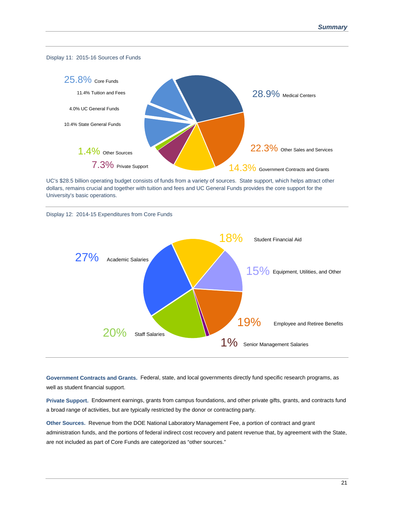

UC's \$28.5 billion operating budget consists of funds from a variety of sources. State support, which helps attract other dollars, remains crucial and together with tuition and fees and UC General Funds provides the core support for the University's basic operations.





**Government Contracts and Grants.** Federal, state, and local governments directly fund specific research programs, as well as student financial support.

**Private Support.** Endowment earnings, grants from campus foundations, and other private gifts, grants, and contracts fund a broad range of activities, but are typically restricted by the donor or contracting party.

**Other Sources.** Revenue from the DOE National Laboratory Management Fee, a portion of contract and grant administration funds, and the portions of federal indirect cost recovery and patent revenue that, by agreement with the State, are not included as part of Core Funds are categorized as "other sources."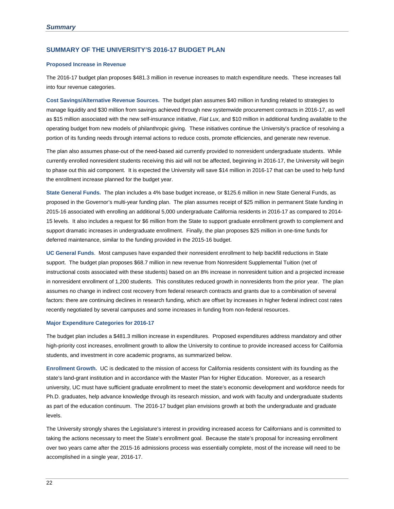#### **SUMMARY OF THE UNIVERSITY'S 2016-17 BUDGET PLAN**

#### **Proposed Increase in Revenue**

The 2016-17 budget plan proposes \$481.3 million in revenue increases to match expenditure needs. These increases fall into four revenue categories.

**Cost Savings/Alternative Revenue Sources.** The budget plan assumes \$40 million in funding related to strategies to manage liquidity and \$30 million from savings achieved through new systemwide procurement contracts in 2016-17, as well as \$15 million associated with the new self-insurance initiative, *Fiat Lux,* and \$10 million in additional funding available to the operating budget from new models of philanthropic giving. These initiatives continue the University's practice of resolving a portion of its funding needs through internal actions to reduce costs, promote efficiencies, and generate new revenue.

The plan also assumes phase-out of the need-based aid currently provided to nonresident undergraduate students. While currently enrolled nonresident students receiving this aid will not be affected, beginning in 2016-17, the University will begin to phase out this aid component. It is expected the University will save \$14 million in 2016-17 that can be used to help fund the enrollment increase planned for the budget year.

**State General Funds.** The plan includes a 4% base budget increase, or \$125.6 million in new State General Funds, as proposed in the Governor's multi-year funding plan. The plan assumes receipt of \$25 million in permanent State funding in 2015-16 associated with enrolling an additional 5,000 undergraduate California residents in 2016-17 as compared to 2014- 15 levels. It also includes a request for \$6 million from the State to support graduate enrollment growth to complement and support dramatic increases in undergraduate enrollment. Finally, the plan proposes \$25 million in one-time funds for deferred maintenance, similar to the funding provided in the 2015-16 budget.

**UC General Funds**. Most campuses have expanded their nonresident enrollment to help backfill reductions in State support. The budget plan proposes \$68.7 million in new revenue from Nonresident Supplemental Tuition (net of instructional costs associated with these students) based on an 8% increase in nonresident tuition and a projected increase in nonresident enrollment of 1,200 students. This constitutes reduced growth in nonresidents from the prior year. The plan assumes no change in indirect cost recovery from federal research contracts and grants due to a combination of several factors: there are continuing declines in research funding, which are offset by increases in higher federal indirect cost rates recently negotiated by several campuses and some increases in funding from non-federal resources.

#### **Major Expenditure Categories for 2016-17**

The budget plan includes a \$481.3 million increase in expenditures. Proposed expenditures address mandatory and other high-priority cost increases, enrollment growth to allow the University to continue to provide increased access for California students, and investment in core academic programs, as summarized below.

**Enrollment Growth.** UC is dedicated to the mission of access for California residents consistent with its founding as the state's land-grant institution and in accordance with the Master Plan for Higher Education. Moreover, as a research university, UC must have sufficient graduate enrollment to meet the state's economic development and workforce needs for Ph.D. graduates, help advance knowledge through its research mission, and work with faculty and undergraduate students as part of the education continuum. The 2016-17 budget plan envisions growth at both the undergraduate and graduate levels.

The University strongly shares the Legislature's interest in providing increased access for Californians and is committed to taking the actions necessary to meet the State's enrollment goal. Because the state's proposal for increasing enrollment over two years came after the 2015-16 admissions process was essentially complete, most of the increase will need to be accomplished in a single year, 2016-17.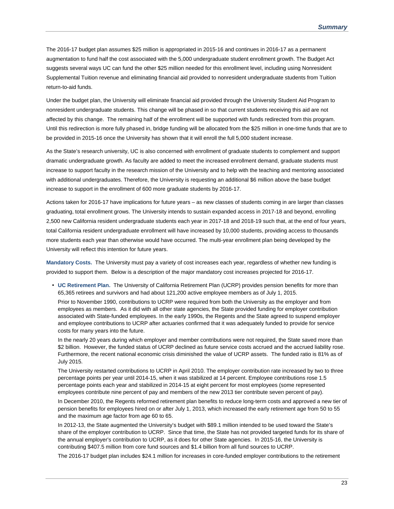The 2016-17 budget plan assumes \$25 million is appropriated in 2015-16 and continues in 2016-17 as a permanent augmentation to fund half the cost associated with the 5,000 undergraduate student enrollment growth. The Budget Act suggests several ways UC can fund the other \$25 million needed for this enrollment level, including using Nonresident Supplemental Tuition revenue and eliminating financial aid provided to nonresident undergraduate students from Tuition return-to-aid funds.

Under the budget plan, the University will eliminate financial aid provided through the University Student Aid Program to nonresident undergraduate students. This change will be phased in so that current students receiving this aid are not affected by this change. The remaining half of the enrollment will be supported with funds redirected from this program. Until this redirection is more fully phased in, bridge funding will be allocated from the \$25 million in one-time funds that are to be provided in 2015-16 once the University has shown that it will enroll the full 5,000 student increase.

As the State's research university, UC is also concerned with enrollment of graduate students to complement and support dramatic undergraduate growth. As faculty are added to meet the increased enrollment demand, graduate students must increase to support faculty in the research mission of the University and to help with the teaching and mentoring associated with additional undergraduates. Therefore, the University is requesting an additional \$6 million above the base budget increase to support in the enrollment of 600 more graduate students by 2016-17.

Actions taken for 2016-17 have implications for future years – as new classes of students coming in are larger than classes graduating, total enrollment grows. The University intends to sustain expanded access in 2017-18 and beyond, enrolling 2,500 new California resident undergraduate students each year in 2017-18 and 2018-19 such that, at the end of four years, total California resident undergraduate enrollment will have increased by 10,000 students, providing access to thousands more students each year than otherwise would have occurred. The multi-year enrollment plan being developed by the University will reflect this intention for future years.

**Mandatory Costs.** The University must pay a variety of cost increases each year, regardless of whether new funding is provided to support them. Below is a description of the major mandatory cost increases projected for 2016-17.

 **UC Retirement Plan.** The University of California Retirement Plan (UCRP) provides pension benefits for more than 65,365 retirees and survivors and had about 121,200 active employee members as of July 1, 2015.

Prior to November 1990, contributions to UCRP were required from both the University as the employer and from employees as members. As it did with all other state agencies, the State provided funding for employer contribution associated with State-funded employees. In the early 1990s, the Regents and the State agreed to suspend employer and employee contributions to UCRP after actuaries confirmed that it was adequately funded to provide for service costs for many years into the future.

In the nearly 20 years during which employer and member contributions were not required, the State saved more than \$2 billion. However, the funded status of UCRP declined as future service costs accrued and the accrued liability rose. Furthermore, the recent national economic crisis diminished the value of UCRP assets. The funded ratio is 81% as of July 2015.

The University restarted contributions to UCRP in April 2010. The employer contribution rate increased by two to three percentage points per year until 2014-15, when it was stabilized at 14 percent. Employee contributions rose 1.5 percentage points each year and stabilized in 2014-15 at eight percent for most employees (some represented employees contribute nine percent of pay and members of the new 2013 tier contribute seven percent of pay).

In December 2010, the Regents reformed retirement plan benefits to reduce long-term costs and approved a new tier of pension benefits for employees hired on or after July 1, 2013, which increased the early retirement age from 50 to 55 and the maximum age factor from age 60 to 65.

In 2012-13, the State augmented the University's budget with \$89.1 million intended to be used toward the State's share of the employer contribution to UCRP. Since that time, the State has not provided targeted funds for its share of the annual employer's contribution to UCRP, as it does for other State agencies. In 2015-16, the University is contributing \$407.5 million from core fund sources and \$1.4 billion from all fund sources to UCRP.

The 2016-17 budget plan includes \$24.1 million for increases in core-funded employer contributions to the retirement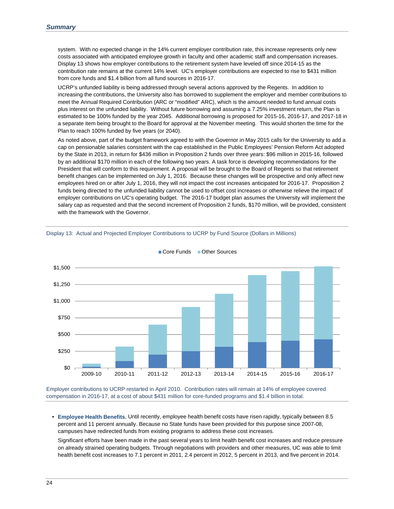system. With no expected change in the 14% current employer contribution rate, this increase represents only new costs associated with anticipated employee growth in faculty and other academic staff and compensation increases. Display 13 shows how employer contributions to the retirement system have leveled off since 2014-15 as the contribution rate remains at the current 14% level. UC's employer contributions are expected to rise to \$431 million from core funds and \$1.4 billion from all fund sources in 2016-17.

UCRP's unfunded liability is being addressed through several actions approved by the Regents. In addition to increasing the contributions, the University also has borrowed to supplement the employer and member contributions to meet the Annual Required Contribution (ARC or "modified" ARC), which is the amount needed to fund annual costs plus interest on the unfunded liability. Without future borrowing and assuming a 7.25% investment return, the Plan is estimated to be 100% funded by the year 2045. Additional borrowing is proposed for 2015-16, 2016-17, and 2017-18 in a separate item being brought to the Board for approval at the November meeting. This would shorten the time for the Plan to reach 100% funded by five years (or 2040).

As noted above, part of the budget framework agreed to with the Governor in May 2015 calls for the University to add a cap on pensionable salaries consistent with the cap established in the Public Employees' Pension Reform Act adopted by the State in 2013, in return for \$436 million in Proposition 2 funds over three years: \$96 million in 2015-16, followed by an additional \$170 million in each of the following two years. A task force is developing recommendations for the President that will conform to this requirement. A proposal will be brought to the Board of Regents so that retirement benefit changes can be implemented on July 1, 2016. Because these changes will be prospective and only affect new employees hired on or after July 1, 2016, they will not impact the cost increases anticipated for 2016-17. Proposition 2 funds being directed to the unfunded liability cannot be used to offset cost increases or otherwise relieve the impact of employer contributions on UC's operating budget. The 2016-17 budget plan assumes the University will implement the salary cap as requested and that the second increment of Proposition 2 funds, \$170 million, will be provided, consistent with the framework with the Governor.



Core Funds Other Sources

Display 13: Actual and Projected Employer Contributions to UCRP by Fund Source (Dollars in Millions)

Employer contributions to UCRP restarted in April 2010. Contribution rates will remain at 14% of employee covered compensation in 2016-17, at a cost of about \$431 million for core-funded programs and \$1.4 billion in total.

 **Employee Health Benefits.** Until recently, employee health benefit costs have risen rapidly, typically between 8.5 percent and 11 percent annually. Because no State funds have been provided for this purpose since 2007-08, campuses have redirected funds from existing programs to address these cost increases.

Significant efforts have been made in the past several years to limit health benefit cost increases and reduce pressure on already strained operating budgets. Through negotiations with providers and other measures, UC was able to limit health benefit cost increases to 7.1 percent in 2011, 2.4 percent in 2012, 5 percent in 2013, and five percent in 2014.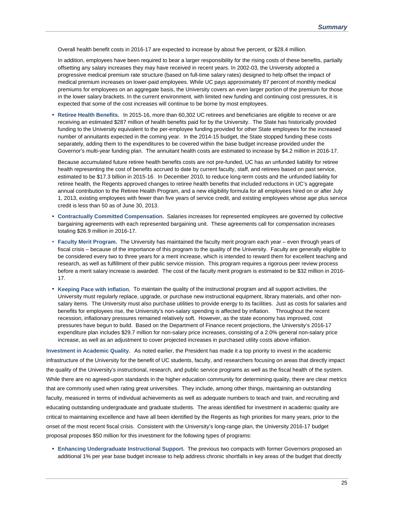Overall health benefit costs in 2016-17 are expected to increase by about five percent, or \$28.4 million.

In addition, employees have been required to bear a larger responsibility for the rising costs of these benefits, partially offsetting any salary increases they may have received in recent years. In 2002-03, the University adopted a progressive medical premium rate structure (based on full-time salary rates) designed to help offset the impact of medical premium increases on lower-paid employees. While UC pays approximately 87 percent of monthly medical premiums for employees on an aggregate basis, the University covers an even larger portion of the premium for those in the lower salary brackets. In the current environment, with limited new funding and continuing cost pressures, it is expected that some of the cost increases will continue to be borne by most employees.

 **Retiree Health Benefits.** In 2015-16, more than 60,302 UC retirees and beneficiaries are eligible to receive or are receiving an estimated \$287 million of health benefits paid for by the University. The State has historically provided funding to the University equivalent to the per-employee funding provided for other State employees for the increased number of annuitants expected in the coming year. In the 2014-15 budget, the State stopped funding these costs separately, adding them to the expenditures to be covered within the base budget increase provided under the Governor's multi-year funding plan. The annuitant health costs are estimated to increase by \$4.2 million in 2016-17.

Because accumulated future retiree health benefits costs are not pre-funded, UC has an unfunded liability for retiree health representing the cost of benefits accrued to date by current faculty, staff, and retirees based on past service, estimated to be \$17.3 billion in 2015-16. In December 2010, to reduce long-term costs and the unfunded liability for retiree health, the Regents approved changes to retiree health benefits that included reductions in UC's aggregate annual contribution to the Retiree Health Program, and a new eligibility formula for all employees hired on or after July 1, 2013, existing employees with fewer than five years of service credit, and existing employees whose age plus service credit is less than 50 as of June 30, 2013.

- **Contractually Committed Compensation.** Salaries increases for represented employees are governed by collective bargaining agreements with each represented bargaining unit. These agreements call for compensation increases totaling \$26.9 million in 2016-17.
- **Faculty Merit Program.** The University has maintained the faculty merit program each year even through years of fiscal crisis – because of the importance of this program to the quality of the University. Faculty are generally eligible to be considered every two to three years for a merit increase, which is intended to reward them for excellent teaching and research, as well as fulfillment of their public service mission. This program requires a rigorous peer review process before a merit salary increase is awarded. The cost of the faculty merit program is estimated to be \$32 million in 2016- 17.
- **Keeping Pace with Inflation.** To maintain the quality of the instructional program and all support activities, the University must regularly replace, upgrade, or purchase new instructional equipment, library materials, and other nonsalary items. The University must also purchase utilities to provide energy to its facilities. Just as costs for salaries and benefits for employees rise, the University's non-salary spending is affected by inflation. Throughout the recent recession, inflationary pressures remained relatively soft. However, as the state economy has improved, cost pressures have begun to build. Based on the Department of Finance recent projections, the University's 2016-17 expenditure plan includes \$29.7 million for non-salary price increases, consisting of a 2.0% general non-salary price increase, as well as an adjustment to cover projected increases in purchased utility costs above inflation.

**Investment in Academic Quality.** As noted earlier, the President has made it a top priority to invest in the academic infrastructure of the University for the benefit of UC students, faculty, and researchers focusing on areas that directly impact the quality of the University's instructional, research, and public service programs as well as the fiscal health of the system. While there are no agreed-upon standards in the higher education community for determining quality, there are clear metrics that are commonly used when rating great universities. They include, among other things, maintaining an outstanding faculty, measured in terms of individual achievements as well as adequate numbers to teach and train, and recruiting and educating outstanding undergraduate and graduate students. The areas identified for investment in academic quality are critical to maintaining excellence and have all been identified by the Regents as high priorities for many years, prior to the onset of the most recent fiscal crisis. Consistent with the University's long-range plan, the University 2016-17 budget proposal proposes \$50 million for this investment for the following types of programs:

 **Enhancing Undergraduate Instructional Support.** The previous two compacts with former Governors proposed an additional 1% per year base budget increase to help address chronic shortfalls in key areas of the budget that directly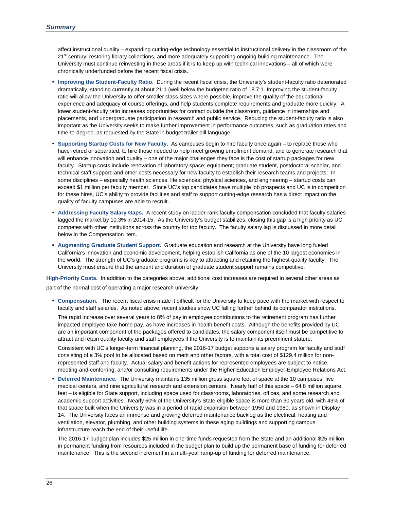affect instructional quality – expanding cutting-edge technology essential to instructional delivery in the classroom of the 21<sup>st</sup> century, restoring library collections, and more adequately supporting ongoing building maintenance. The University must continue reinvesting in these areas if it is to keep up with technical innovations – all of which were chronically underfunded before the recent fiscal crisis.

- **Improving the Student-Faculty Ratio**. During the recent fiscal crisis, the University's student-faculty ratio deteriorated dramatically, standing currently at about 21:1 (well below the budgeted ratio of 18.7:1. Improving the student-faculty ratio will allow the University to offer smaller class sizes where possible, improve the quality of the educational experience and adequacy of course offerings, and help students complete requirements and graduate more quickly. A lower student-faculty ratio increases opportunities for contact outside the classroom, guidance in internships and placements, and undergraduate participation in research and public service. Reducing the student-faculty ratio is also important as the University seeks to make further improvement in performance outcomes, such as graduation rates and time-to-degree, as requested by the State in budget trailer bill language.
- **Supporting Startup Costs for New Faculty.** As campuses begin to hire faculty once again to replace those who have retired or separated, to hire those needed to help meet growing enrollment demand, and to generate research that will enhance innovation and quality – one of the major challenges they face is the cost of startup packages for new faculty. Startup costs include renovation of laboratory space; equipment; graduate student, postdoctoral scholar, and technical staff support; and other costs necessary for new faculty to establish their research teams and projects. In some disciplines – especially health sciences, life sciences, physical sciences, and engineering – startup costs can exceed \$1 million per faculty member. Since UC's top candidates have multiple job prospects and UC is in competition for these hires, UC's ability to provide facilities and staff to support cutting-edge research has a direct impact on the quality of faculty campuses are able to recruit..
- **Addressing Faculty Salary Gaps.** A recent study on ladder-rank faculty compensation concluded that faculty salaries lagged the market by 10.3% in 2014-15. As the University's budget stabilizes, closing this gap is a high priority as UC competes with other institutions across the country for top faculty. The faculty salary lag is discussed in more detail below in the Compensation item.
- **Augmenting Graduate Student Support.** Graduate education and research at the University have long fueled California's innovation and economic development, helping establish California as one of the 10 largest economies in the world. The strength of UC's graduate programs is key to attracting and retaining the highest-quality faculty. The University must ensure that the amount and duration of graduate student support remains competitive.

**High-Priority Costs.** In addition to the categories above, additional cost increases are required in several other areas as part of the normal cost of operating a major research university:

 **Compensation.** The recent fiscal crisis made it difficult for the University to keep pace with the market with respect to faculty and staff salaries. As noted above, recent studies show UC falling further behind its comparator institutions.

The rapid increase over several years to 8% of pay in employee contributions to the retirement program has further impacted employee take-home pay, as have increases in health benefit costs. Although the benefits provided by UC are an important component of the packages offered to candidates, the salary component itself must be competitive to attract and retain quality faculty and staff employees if the University is to maintain its preeminent stature.

Consistent with UC's longer-term financial planning, the 2016-17 budget supports a salary program for faculty and staff consisting of a 3% pool to be allocated based on merit and other factors, with a total cost of \$129.4 million for nonrepresented staff and faculty. Actual salary and benefit actions for represented employees are subject to notice, meeting-and-conferring, and/or consulting requirements under the Higher Education Employer-Employee Relations Act.

 **Deferred Maintenance.** The University maintains 135 million gross square feet of space at the 10 campuses, five medical centers, and nine agricultural research and extension centers. Nearly half of this space – 64.8 million square feet – is eligible for State support, including space used for classrooms, laboratories, offices, and some research and academic support activities. Nearly 60% of the University's State-eligible space is more than 30 years old, with 43% of that space built when the University was in a period of rapid expansion between 1950 and 1980, as shown in Display 14. The University faces an immense and growing deferred maintenance backlog as the electrical, heating and ventilation, elevator, plumbing, and other building systems in these aging buildings and supporting campus infrastructure reach the end of their useful life.

The 2016-17 budget plan includes \$25 million in one-time funds requested from the State and an additional \$25 million in permanent funding from resources included in the budget plan to build up the permanent base of funding for deferred maintenance. This is the second increment in a multi-year ramp-up of funding for deferred maintenance.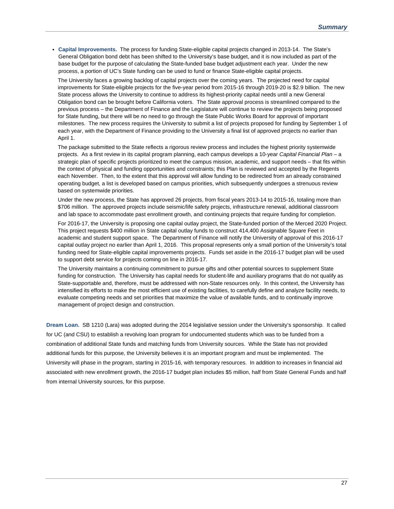**Capital Improvements.** The process for funding State-eligible capital projects changed in 2013-14. The State's General Obligation bond debt has been shifted to the University's base budget, and it is now included as part of the base budget for the purpose of calculating the State-funded base budget adjustment each year. Under the new process, a portion of UC's State funding can be used to fund or finance State-eligible capital projects.

The University faces a growing backlog of capital projects over the coming years. The projected need for capital improvements for State-eligible projects for the five-year period from 2015-16 through 2019-20 is \$2.9 billion. The new State process allows the University to continue to address its highest-priority capital needs until a new General Obligation bond can be brought before California voters. The State approval process is streamlined compared to the previous process – the Department of Finance and the Legislature will continue to review the projects being proposed for State funding, but there will be no need to go through the State Public Works Board for approval of important milestones. The new process requires the University to submit a list of projects proposed for funding by September 1 of each year, with the Department of Finance providing to the University a final list of approved projects no earlier than April 1.

The package submitted to the State reflects a rigorous review process and includes the highest priority systemwide projects. As a first review in its capital program planning, each campus develops a 10‐year *Capital Financial Plan* – a strategic plan of specific projects prioritized to meet the campus mission, academic, and support needs – that fits within the context of physical and funding opportunities and constraints; this Plan is reviewed and accepted by the Regents each November. Then, to the extent that this approval will allow funding to be redirected from an already constrained operating budget, a list is developed based on campus priorities, which subsequently undergoes a strenuous review based on systemwide priorities.

Under the new process, the State has approved 26 projects, from fiscal years 2013-14 to 2015-16, totaling more than \$706 million. The approved projects include seismic/life safety projects, infrastructure renewal, additional classroom and lab space to accommodate past enrollment growth, and continuing projects that require funding for completion.

For 2016-17, the University is proposing one capital outlay project, the State-funded portion of the Merced 2020 Project. This project requests \$400 million in State capital outlay funds to construct 414,400 Assignable Square Feet in academic and student support space. The Department of Finance will notify the University of approval of this 2016-17 capital outlay project no earlier than April 1, 2016. This proposal represents only a small portion of the University's total funding need for State-eligible capital improvements projects. Funds set aside in the 2016-17 budget plan will be used to support debt service for projects coming on line in 2016-17.

The University maintains a continuing commitment to pursue gifts and other potential sources to supplement State funding for construction. The University has capital needs for student-life and auxiliary programs that do not qualify as State-supportable and, therefore, must be addressed with non-State resources only. In this context, the University has intensified its efforts to make the most efficient use of existing facilities, to carefully define and analyze facility needs, to evaluate competing needs and set priorities that maximize the value of available funds, and to continually improve management of project design and construction.

**Dream Loan.** SB 1210 (Lara) was adopted during the 2014 legislative session under the University's sponsorship. It called for UC (and CSU) to establish a revolving loan program for undocumented students which was to be funded from a combination of additional State funds and matching funds from University sources. While the State has not provided additional funds for this purpose, the University believes it is an important program and must be implemented. The University will phase in the program, starting in 2015-16, with temporary resources. In addition to increases in financial aid associated with new enrollment growth, the 2016-17 budget plan includes \$5 million, half from State General Funds and half from internal University sources, for this purpose.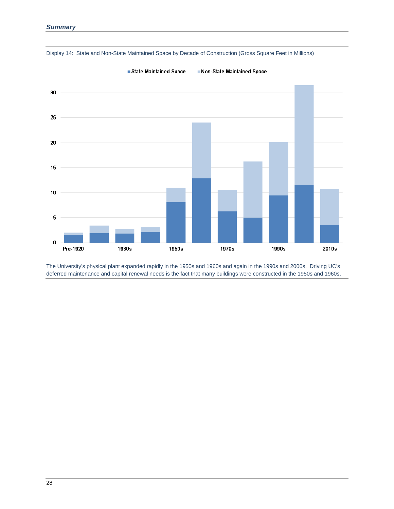

Display 14: State and Non-State Maintained Space by Decade of Construction (Gross Square Feet in Millions)

State Maintained Space

Non-State Maintained Space

The University's physical plant expanded rapidly in the 1950s and 1960s and again in the 1990s and 2000s. Driving UC's deferred maintenance and capital renewal needs is the fact that many buildings were constructed in the 1950s and 1960s.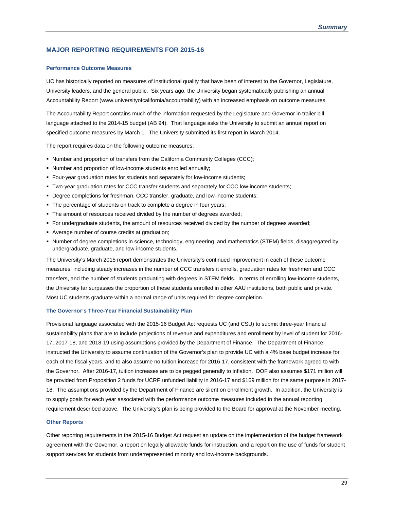#### **MAJOR REPORTING REQUIREMENTS FOR 2015-16**

#### **Performance Outcome Measures**

UC has historically reported on measures of institutional quality that have been of interest to the Governor, Legislature, University leaders, and the general public. Six years ago, the University began systematically publishing an annual Accountability Report (www.universityofcalifornia/accountability) with an increased emphasis on outcome measures.

The Accountability Report contains much of the information requested by the Legislature and Governor in trailer bill language attached to the 2014-15 budget (AB 94). That language asks the University to submit an annual report on specified outcome measures by March 1. The University submitted its first report in March 2014.

The report requires data on the following outcome measures:

- Number and proportion of transfers from the California Community Colleges (CCC);
- Number and proportion of low-income students enrolled annually;
- Four-year graduation rates for students and separately for low-income students;
- Two-year graduation rates for CCC transfer students and separately for CCC low-income students;
- Degree completions for freshman, CCC transfer, graduate, and low-income students;
- The percentage of students on track to complete a degree in four years;
- The amount of resources received divided by the number of degrees awarded;
- For undergraduate students, the amount of resources received divided by the number of degrees awarded;
- Average number of course credits at graduation;
- Number of degree completions in science, technology, engineering, and mathematics (STEM) fields, disaggregated by undergraduate, graduate, and low-income students.

The University's March 2015 report demonstrates the University's continued improvement in each of these outcome measures, including steady increases in the number of CCC transfers it enrolls, graduation rates for freshmen and CCC transfers, and the number of students graduating with degrees in STEM fields. In terms of enrolling low-income students, the University far surpasses the proportion of these students enrolled in other AAU institutions, both public and private. Most UC students graduate within a normal range of units required for degree completion.

#### **The Governor's Three-Year Financial Sustainability Plan**

Provisional language associated with the 2015-16 Budget Act requests UC (and CSU) to submit three-year financial sustainability plans that are to include projections of revenue and expenditures and enrollment by level of student for 2016- 17, 2017-18, and 2018-19 using assumptions provided by the Department of Finance. The Department of Finance instructed the University to assume continuation of the Governor's plan to provide UC with a 4% base budget increase for each of the fiscal years, and to also assume no tuition increase for 2016-17, consistent with the framework agreed to with the Governor. After 2016-17, tuition increases are to be pegged generally to inflation. DOF also assumes \$171 million will be provided from Proposition 2 funds for UCRP unfunded liability in 2016-17 and \$169 million for the same purpose in 2017- 18. The assumptions provided by the Department of Finance are silent on enrollment growth. In addition, the University is to supply goals for each year associated with the performance outcome measures included in the annual reporting requirement described above. The University's plan is being provided to the Board for approval at the November meeting.

#### **Other Reports**

Other reporting requirements in the 2015-16 Budget Act request an update on the implementation of the budget framework agreement with the Governor, a report on legally allowable funds for instruction, and a report on the use of funds for student support services for students from underrepresented minority and low-income backgrounds.